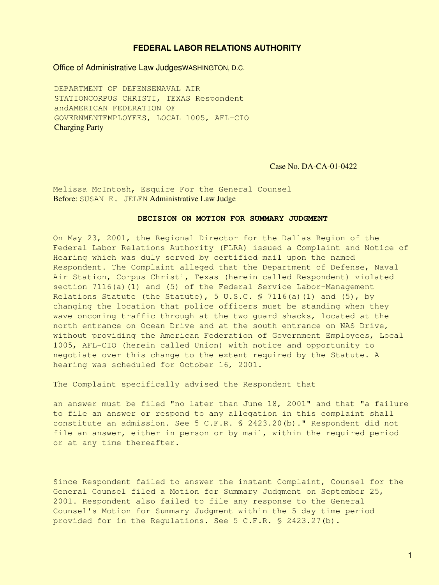# **FEDERAL LABOR RELATIONS AUTHORITY**

Office of Administrative Law JudgesWASHINGTON, D.C.

DEPARTMENT OF DEFENSENAVAL AIR STATIONCORPUS CHRISTI, TEXAS Respondent andAMERICAN FEDERATION OF GOVERNMENTEMPLOYEES, LOCAL 1005, AFL-CIO Charging Party

Case No. DA-CA-01-0422

Melissa McIntosh, Esquire For the General Counsel Before: SUSAN E. JELEN Administrative Law Judge

# **DECISION ON MOTION FOR SUMMARY JUDGMENT**

On May 23, 2001, the Regional Director for the Dallas Region of the Federal Labor Relations Authority (FLRA) issued a Complaint and Notice of Hearing which was duly served by certified mail upon the named Respondent. The Complaint alleged that the Department of Defense, Naval Air Station, Corpus Christi, Texas (herein called Respondent) violated section 7116(a)(1) and (5) of the Federal Service Labor-Management Relations Statute (the Statute), 5 U.S.C. § 7116(a)(1) and (5), by changing the location that police officers must be standing when they wave oncoming traffic through at the two guard shacks, located at the north entrance on Ocean Drive and at the south entrance on NAS Drive, without providing the American Federation of Government Employees, Local 1005, AFL-CIO (herein called Union) with notice and opportunity to negotiate over this change to the extent required by the Statute. A hearing was scheduled for October 16, 2001.

The Complaint specifically advised the Respondent that

an answer must be filed "no later than June 18, 2001" and that "a failure to file an answer or respond to any allegation in this complaint shall constitute an admission. See 5 C.F.R. § 2423.20(b)." Respondent did not file an answer, either in person or by mail, within the required period or at any time thereafter.

Since Respondent failed to answer the instant Complaint, Counsel for the General Counsel filed a Motion for Summary Judgment on September 25, 2001. Respondent also failed to file any response to the General Counsel's Motion for Summary Judgment within the 5 day time period provided for in the Regulations. See 5 C.F.R. § 2423.27(b).

1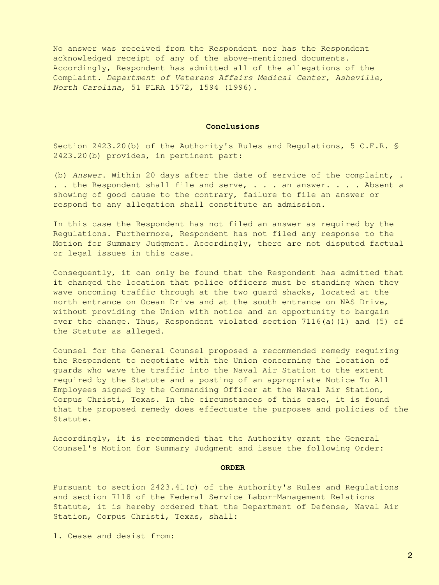No answer was received from the Respondent nor has the Respondent acknowledged receipt of any of the above-mentioned documents. Accordingly, Respondent has admitted all of the allegations of the Complaint. *Department of Veterans Affairs Medical Center, Asheville, North Carolina*, 51 FLRA 1572, 1594 (1996).

### **Conclusions**

Section 2423.20(b) of the Authority's Rules and Regulations, 5 C.F.R. § 2423.20(b) provides, in pertinent part:

(b) *Answer*. Within 20 days after the date of service of the complaint, . ... the Respondent shall file and serve, ... an answer. ... Absent a showing of good cause to the contrary, failure to file an answer or respond to any allegation shall constitute an admission.

In this case the Respondent has not filed an answer as required by the Regulations. Furthermore, Respondent has not filed any response to the Motion for Summary Judgment. Accordingly, there are not disputed factual or legal issues in this case.

Consequently, it can only be found that the Respondent has admitted that it changed the location that police officers must be standing when they wave oncoming traffic through at the two guard shacks, located at the north entrance on Ocean Drive and at the south entrance on NAS Drive, without providing the Union with notice and an opportunity to bargain over the change. Thus, Respondent violated section 7116(a)(1) and (5) of the Statute as alleged.

Counsel for the General Counsel proposed a recommended remedy requiring the Respondent to negotiate with the Union concerning the location of guards who wave the traffic into the Naval Air Station to the extent required by the Statute and a posting of an appropriate Notice To All Employees signed by the Commanding Officer at the Naval Air Station, Corpus Christi, Texas. In the circumstances of this case, it is found that the proposed remedy does effectuate the purposes and policies of the Statute.

Accordingly, it is recommended that the Authority grant the General Counsel's Motion for Summary Judgment and issue the following Order:

### **ORDER**

Pursuant to section 2423.41(c) of the Authority's Rules and Regulations and section 7118 of the Federal Service Labor-Management Relations Statute, it is hereby ordered that the Department of Defense, Naval Air Station, Corpus Christi, Texas, shall:

1. Cease and desist from: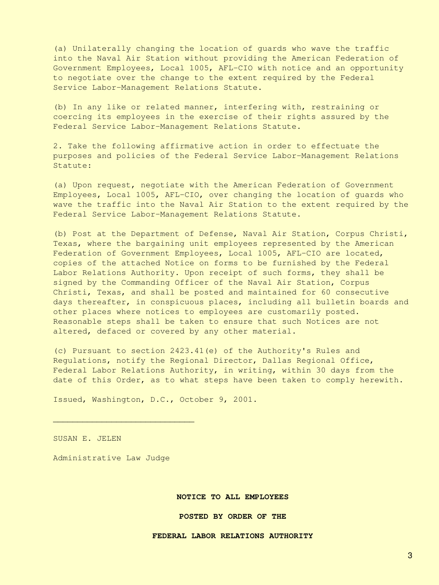(a) Unilaterally changing the location of guards who wave the traffic into the Naval Air Station without providing the American Federation of Government Employees, Local 1005, AFL-CIO with notice and an opportunity to negotiate over the change to the extent required by the Federal Service Labor-Management Relations Statute.

(b) In any like or related manner, interfering with, restraining or coercing its employees in the exercise of their rights assured by the Federal Service Labor-Management Relations Statute.

2. Take the following affirmative action in order to effectuate the purposes and policies of the Federal Service Labor-Management Relations Statute:

(a) Upon request, negotiate with the American Federation of Government Employees, Local 1005, AFL-CIO, over changing the location of guards who wave the traffic into the Naval Air Station to the extent required by the Federal Service Labor-Management Relations Statute.

(b) Post at the Department of Defense, Naval Air Station, Corpus Christi, Texas, where the bargaining unit employees represented by the American Federation of Government Employees, Local 1005, AFL-CIO are located, copies of the attached Notice on forms to be furnished by the Federal Labor Relations Authority. Upon receipt of such forms, they shall be signed by the Commanding Officer of the Naval Air Station, Corpus Christi, Texas, and shall be posted and maintained for 60 consecutive days thereafter, in conspicuous places, including all bulletin boards and other places where notices to employees are customarily posted. Reasonable steps shall be taken to ensure that such Notices are not altered, defaced or covered by any other material.

(c) Pursuant to section 2423.41(e) of the Authority's Rules and Regulations, notify the Regional Director, Dallas Regional Office, Federal Labor Relations Authority, in writing, within 30 days from the date of this Order, as to what steps have been taken to comply herewith.

Issued, Washington, D.C., October 9, 2001.

SUSAN E. JELEN

Administrative Law Judge

 $\frac{1}{2}$  ,  $\frac{1}{2}$  ,  $\frac{1}{2}$  ,  $\frac{1}{2}$  ,  $\frac{1}{2}$  ,  $\frac{1}{2}$  ,  $\frac{1}{2}$  ,  $\frac{1}{2}$  ,  $\frac{1}{2}$  ,  $\frac{1}{2}$  ,  $\frac{1}{2}$  ,  $\frac{1}{2}$  ,  $\frac{1}{2}$  ,  $\frac{1}{2}$  ,  $\frac{1}{2}$  ,  $\frac{1}{2}$  ,  $\frac{1}{2}$  ,  $\frac{1}{2}$  ,  $\frac{1$ 

#### **NOTICE TO ALL EMPLOYEES**

## **POSTED BY ORDER OF THE**

# **FEDERAL LABOR RELATIONS AUTHORITY**